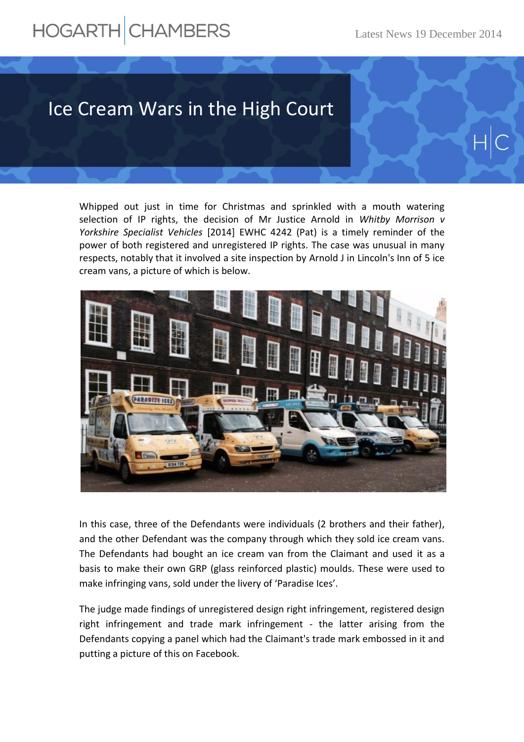## HOGARTH CHAMBERS

## Ice Cream Wars in the High Court

Whipped out just in time for Christmas and sprinkled with a mouth watering selection of IP rights, the decision of Mr Justice Arnold in *Whitby Morrison v Yorkshire Specialist Vehicles* [2014] EWHC 4242 (Pat) is a timely reminder of the power of both registered and unregistered IP rights. The case was unusual in many respects, notably that it involved a site inspection by Arnold J in Lincoln's Inn of 5 ice cream vans, a picture of which is below.



In this case, three of the Defendants were individuals (2 brothers and their father), and the other Defendant was the company through which they sold ice cream vans. The Defendants had bought an ice cream van from the Claimant and used it as a basis to make their own GRP (glass reinforced plastic) moulds. These were used to make infringing vans, sold under the livery of 'Paradise Ices'.

The judge made findings of unregistered design right infringement, registered design right infringement and trade mark infringement - the latter arising from the Defendants copying a panel which had the Claimant's trade mark embossed in it and putting a picture of this on Facebook.